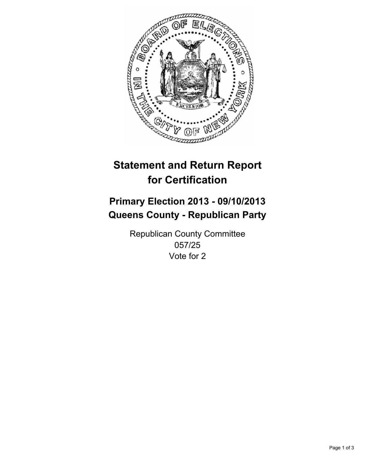

# **Statement and Return Report for Certification**

# **Primary Election 2013 - 09/10/2013 Queens County - Republican Party**

Republican County Committee 057/25 Vote for 2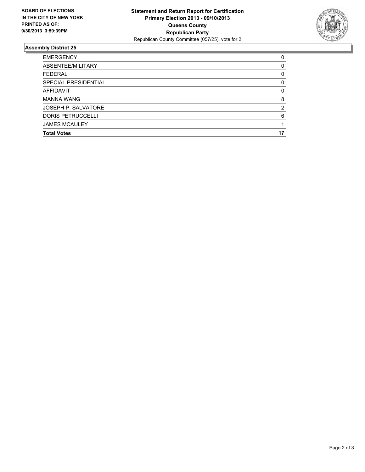

## **Assembly District 25**

| 0  |
|----|
| 0  |
| 0  |
| 0  |
| 0  |
| 8  |
| 2  |
| 6  |
|    |
| 17 |
|    |